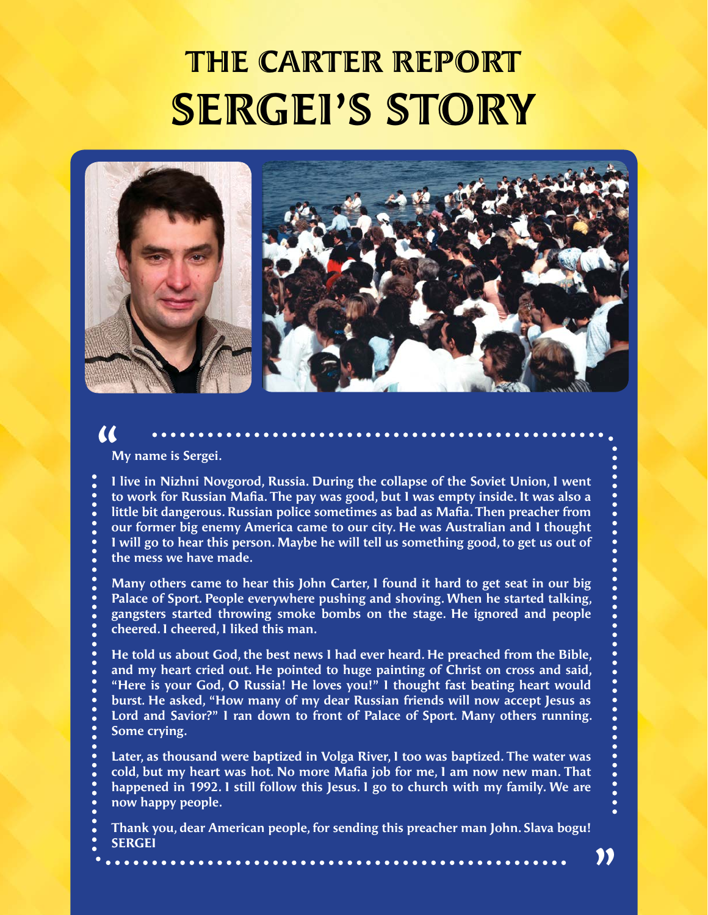# THE CARTER REPORT SERGEI'S STORY



#### **My name is Sergei.**

 $\alpha$ 

**I live in Nizhni Novgorod, Russia. During the collapse of the Soviet Union, I went to work for Russian Mafia. The pay was good, but I was empty inside. It was also a little bit dangerous. Russian police sometimes as bad as Mafia. Then preacher from our former big enemy America came to our city. He was Australian and I thought I will go to hear this person. Maybe he will tell us something good, to get us out of the mess we have made.**

**Many others came to hear this John Carter, I found it hard to get seat in our big Palace of Sport. People everywhere pushing and shoving. When he started talking, gangsters started throwing smoke bombs on the stage. He ignored and people cheered. I cheered, I liked this man.**

**He told us about God, the best news I had ever heard. He preached from the Bible, and my heart cried out. He pointed to huge painting of Christ on cross and said, "Here is your God, O Russia! He loves you!" I thought fast beating heart would burst. He asked, "How many of my dear Russian friends will now accept Jesus as Lord and Savior?" I ran down to front of Palace of Sport. Many others running. Some crying.**

**Later, as thousand were baptized in Volga River, I too was baptized. The water was cold, but my heart was hot. No more Mafia job for me, I am now new man. That happened in 1992. I still follow this Jesus. I go to church with my family. We are now happy people.**

**Thank you, dear American people, for sending this preacher man John. Slava bogu! SERGEI**

"